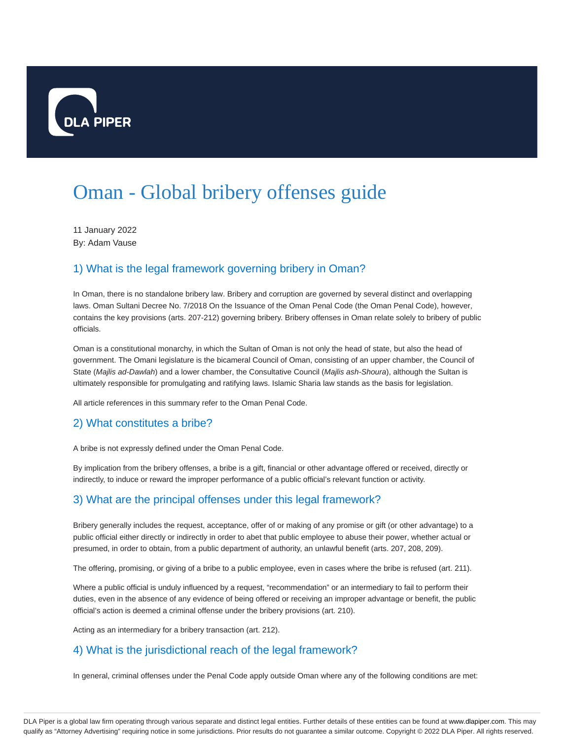

# Oman - Global bribery offenses guide

11 January 2022 By: Adam Vause

## 1) What is the legal framework governing bribery in Oman?

In Oman, there is no standalone bribery law. Bribery and corruption are governed by several distinct and overlapping laws. Oman Sultani Decree No. 7/2018 On the Issuance of the Oman Penal Code (the Oman Penal Code), however, contains the key provisions (arts. 207-212) governing bribery. Bribery offenses in Oman relate solely to bribery of public officials.

Oman is a constitutional monarchy, in which the Sultan of Oman is not only the head of state, but also the head of government. The Omani legislature is the bicameral Council of Oman, consisting of an upper chamber, the Council of State (Majlis ad-Dawlah) and a lower chamber, the Consultative Council (Majlis ash-Shoura), although the Sultan is ultimately responsible for promulgating and ratifying laws. Islamic Sharia law stands as the basis for legislation.

All article references in this summary refer to the Oman Penal Code.

#### 2) What constitutes a bribe?

A bribe is not expressly defined under the Oman Penal Code.

By implication from the bribery offenses, a bribe is a gift, financial or other advantage offered or received, directly or indirectly, to induce or reward the improper performance of a public official's relevant function or activity.

#### 3) What are the principal offenses under this legal framework?

Bribery generally includes the request, acceptance, offer of or making of any promise or gift (or other advantage) to a public official either directly or indirectly in order to abet that public employee to abuse their power, whether actual or presumed, in order to obtain, from a public department of authority, an unlawful benefit (arts. 207, 208, 209).

The offering, promising, or giving of a bribe to a public employee, even in cases where the bribe is refused (art. 211).

Where a public official is unduly influenced by a request, "recommendation" or an intermediary to fail to perform their duties, even in the absence of any evidence of being offered or receiving an improper advantage or benefit, the public official's action is deemed a criminal offense under the bribery provisions (art. 210).

Acting as an intermediary for a bribery transaction (art. 212).

#### 4) What is the jurisdictional reach of the legal framework?

In general, criminal offenses under the Penal Code apply outside Oman where any of the following conditions are met: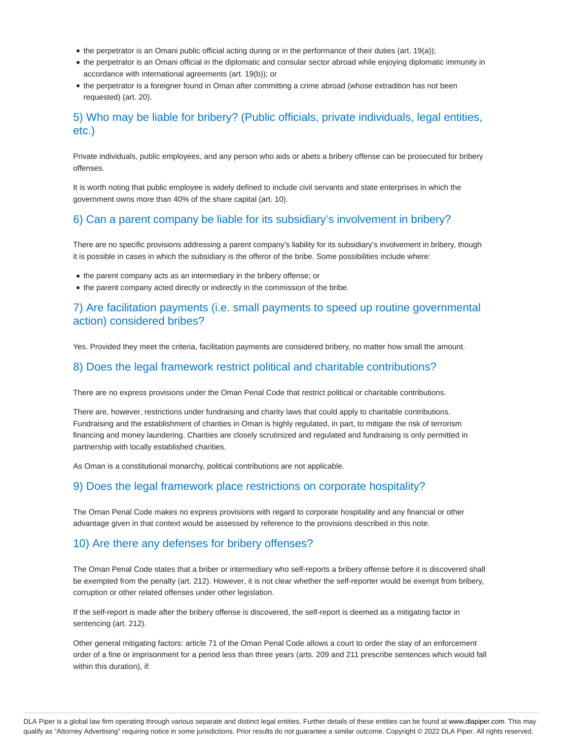- the perpetrator is an Omani public official acting during or in the performance of their duties (art. 19(a));
- the perpetrator is an Omani official in the diplomatic and consular sector abroad while enjoying diplomatic immunity in accordance with international agreements (art. 19(b)); or
- the perpetrator is a foreigner found in Oman after committing a crime abroad (whose extradition has not been requested) (art. 20).

## 5) Who may be liable for bribery? (Public officials, private individuals, legal entities, etc.)

Private individuals, public employees, and any person who aids or abets a bribery offense can be prosecuted for bribery offenses.

It is worth noting that public employee is widely defined to include civil servants and state enterprises in which the government owns more than 40% of the share capital (art. 10).

#### 6) Can a parent company be liable for its subsidiary's involvement in bribery?

There are no specific provisions addressing a parent company's liability for its subsidiary's involvement in bribery, though it is possible in cases in which the subsidiary is the offeror of the bribe. Some possibilities include where:

- the parent company acts as an intermediary in the bribery offense; or
- the parent company acted directly or indirectly in the commission of the bribe.

#### 7) Are facilitation payments (i.e. small payments to speed up routine governmental action) considered bribes?

Yes. Provided they meet the criteria, facilitation payments are considered bribery, no matter how small the amount.

#### 8) Does the legal framework restrict political and charitable contributions?

There are no express provisions under the Oman Penal Code that restrict political or charitable contributions.

There are, however, restrictions under fundraising and charity laws that could apply to charitable contributions. Fundraising and the establishment of charities in Oman is highly regulated, in part, to mitigate the risk of terrorism financing and money laundering. Charities are closely scrutinized and regulated and fundraising is only permitted in partnership with locally established charities.

As Oman is a constitutional monarchy, political contributions are not applicable.

#### 9) Does the legal framework place restrictions on corporate hospitality?

The Oman Penal Code makes no express provisions with regard to corporate hospitality and any financial or other advantage given in that context would be assessed by reference to the provisions described in this note.

#### 10) Are there any defenses for bribery offenses?

The Oman Penal Code states that a briber or intermediary who self-reports a bribery offense before it is discovered shall be exempted from the penalty (art. 212). However, it is not clear whether the self-reporter would be exempt from bribery, corruption or other related offenses under other legislation.

If the self-report is made after the bribery offense is discovered, the self-report is deemed as a mitigating factor in sentencing (art. 212).

Other general mitigating factors: article 71 of the Oman Penal Code allows a court to order the stay of an enforcement order of a fine or imprisonment for a period less than three years (arts. 209 and 211 prescribe sentences which would fall within this duration), if: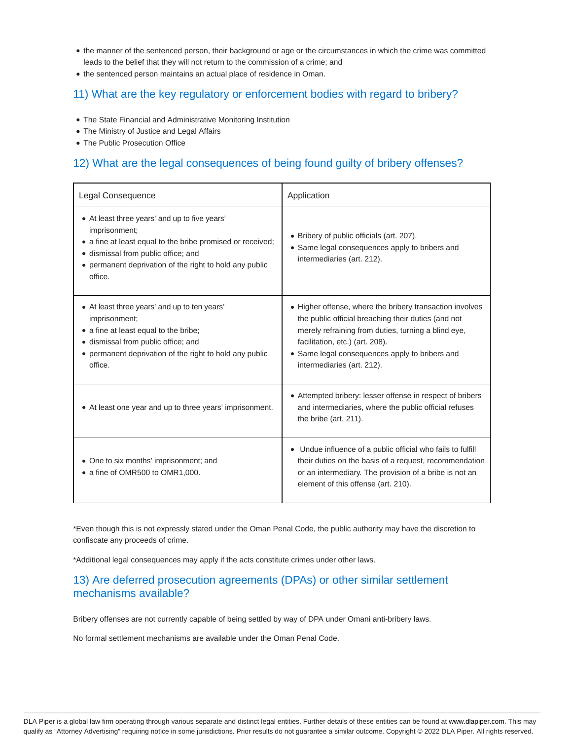- the manner of the sentenced person, their background or age or the circumstances in which the crime was committed leads to the belief that they will not return to the commission of a crime; and
- the sentenced person maintains an actual place of residence in Oman.

## 11) What are the key regulatory or enforcement bodies with regard to bribery?

- The State Financial and Administrative Monitoring Institution
- The Ministry of Justice and Legal Affairs
- The Public Prosecution Office

## 12) What are the legal consequences of being found guilty of bribery offenses?

| Legal Consequence                                                                                                                                                                                                                         | Application                                                                                                                                                                                                                                                                               |
|-------------------------------------------------------------------------------------------------------------------------------------------------------------------------------------------------------------------------------------------|-------------------------------------------------------------------------------------------------------------------------------------------------------------------------------------------------------------------------------------------------------------------------------------------|
| • At least three years' and up to five years'<br>imprisonment;<br>• a fine at least equal to the bribe promised or received;<br>· dismissal from public office; and<br>• permanent deprivation of the right to hold any public<br>office. | • Bribery of public officials (art. 207).<br>• Same legal consequences apply to bribers and<br>intermediaries (art. 212).                                                                                                                                                                 |
| • At least three years' and up to ten years'<br>imprisonment;<br>• a fine at least equal to the bribe;<br>· dismissal from public office; and<br>• permanent deprivation of the right to hold any public<br>office.                       | • Higher offense, where the bribery transaction involves<br>the public official breaching their duties (and not<br>merely refraining from duties, turning a blind eye,<br>facilitation, etc.) (art. 208).<br>• Same legal consequences apply to bribers and<br>intermediaries (art. 212). |
| • At least one year and up to three years' imprisonment.                                                                                                                                                                                  | • Attempted bribery: lesser offense in respect of bribers<br>and intermediaries, where the public official refuses<br>the bribe (art. 211).                                                                                                                                               |
| • One to six months' imprisonment; and<br>• a fine of OMR500 to OMR1,000.                                                                                                                                                                 | • Undue influence of a public official who fails to fulfill<br>their duties on the basis of a request, recommendation<br>or an intermediary. The provision of a bribe is not an<br>element of this offense (art. 210).                                                                    |

\*Even though this is not expressly stated under the Oman Penal Code, the public authority may have the discretion to confiscate any proceeds of crime.

\*Additional legal consequences may apply if the acts constitute crimes under other laws.

## 13) Are deferred prosecution agreements (DPAs) or other similar settlement mechanisms available?

Bribery offenses are not currently capable of being settled by way of DPA under Omani anti-bribery laws.

No formal settlement mechanisms are available under the Oman Penal Code.